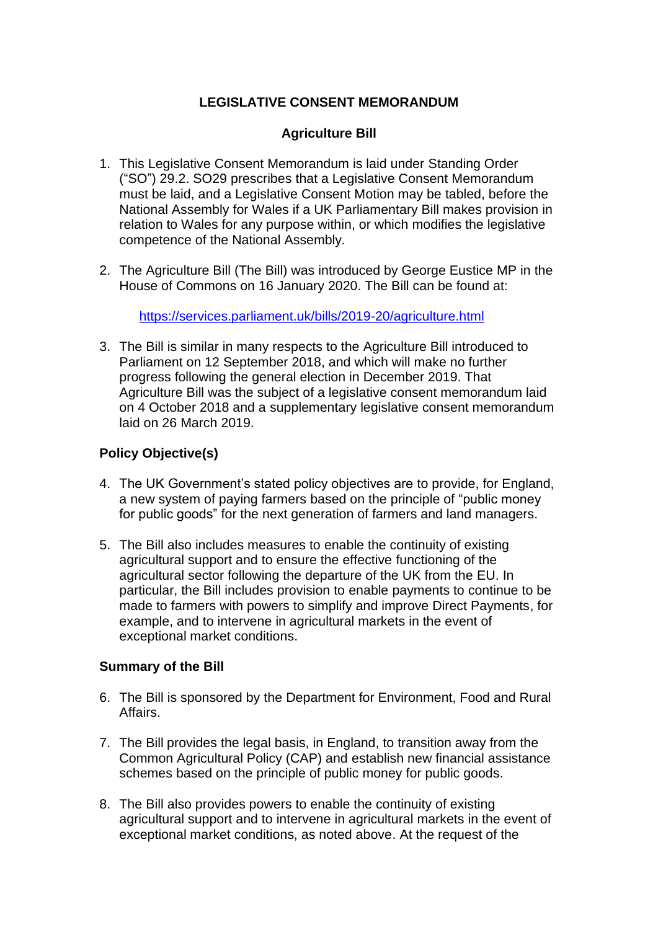# **LEGISLATIVE CONSENT MEMORANDUM**

# **Agriculture Bill**

- 1. This Legislative Consent Memorandum is laid under Standing Order ("SO") 29.2. SO29 prescribes that a Legislative Consent Memorandum must be laid, and a Legislative Consent Motion may be tabled, before the National Assembly for Wales if a UK Parliamentary Bill makes provision in relation to Wales for any purpose within, or which modifies the legislative competence of the National Assembly*.*
- 2. The Agriculture Bill (The Bill) was introduced by George Eustice MP in the House of Commons on 16 January 2020. The Bill can be found at:

<https://services.parliament.uk/bills/2019-20/agriculture.html>

3. The Bill is similar in many respects to the Agriculture Bill introduced to Parliament on 12 September 2018, and which will make no further progress following the general election in December 2019. That Agriculture Bill was the subject of a legislative consent memorandum laid on 4 October 2018 and a supplementary legislative consent memorandum laid on 26 March 2019.

# **Policy Objective(s)**

- 4. The UK Government's stated policy objectives are to provide, for England, a new system of paying farmers based on the principle of "public money for public goods" for the next generation of farmers and land managers.
- 5. The Bill also includes measures to enable the continuity of existing agricultural support and to ensure the effective functioning of the agricultural sector following the departure of the UK from the EU. In particular, the Bill includes provision to enable payments to continue to be made to farmers with powers to simplify and improve Direct Payments, for example, and to intervene in agricultural markets in the event of exceptional market conditions.

## **Summary of the Bill**

- 6. The Bill is sponsored by the Department for Environment, Food and Rural Affairs.
- 7. The Bill provides the legal basis, in England, to transition away from the Common Agricultural Policy (CAP) and establish new financial assistance schemes based on the principle of public money for public goods.
- 8. The Bill also provides powers to enable the continuity of existing agricultural support and to intervene in agricultural markets in the event of exceptional market conditions, as noted above. At the request of the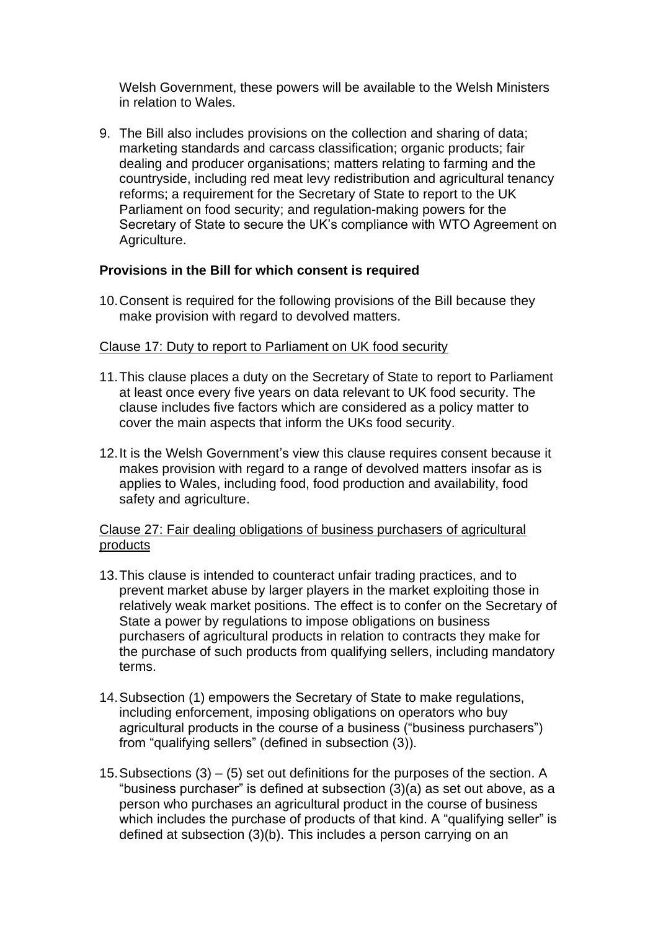Welsh Government, these powers will be available to the Welsh Ministers in relation to Wales.

9. The Bill also includes provisions on the collection and sharing of data; marketing standards and carcass classification; organic products; fair dealing and producer organisations; matters relating to farming and the countryside, including red meat levy redistribution and agricultural tenancy reforms; a requirement for the Secretary of State to report to the UK Parliament on food security; and regulation-making powers for the Secretary of State to secure the UK's compliance with WTO Agreement on Agriculture.

## **Provisions in the Bill for which consent is required**

10.Consent is required for the following provisions of the Bill because they make provision with regard to devolved matters.

# Clause 17: Duty to report to Parliament on UK food security

- 11.This clause places a duty on the Secretary of State to report to Parliament at least once every five years on data relevant to UK food security. The clause includes five factors which are considered as a policy matter to cover the main aspects that inform the UKs food security.
- 12.It is the Welsh Government's view this clause requires consent because it makes provision with regard to a range of devolved matters insofar as is applies to Wales, including food, food production and availability, food safety and agriculture.

## Clause 27: Fair dealing obligations of business purchasers of agricultural products

- 13.This clause is intended to counteract unfair trading practices, and to prevent market abuse by larger players in the market exploiting those in relatively weak market positions. The effect is to confer on the Secretary of State a power by regulations to impose obligations on business purchasers of agricultural products in relation to contracts they make for the purchase of such products from qualifying sellers, including mandatory terms.
- 14.Subsection (1) empowers the Secretary of State to make regulations, including enforcement, imposing obligations on operators who buy agricultural products in the course of a business ("business purchasers") from "qualifying sellers" (defined in subsection (3)).
- 15. Subsections  $(3) (5)$  set out definitions for the purposes of the section. A "business purchaser" is defined at subsection (3)(a) as set out above, as a person who purchases an agricultural product in the course of business which includes the purchase of products of that kind. A "qualifying seller" is defined at subsection (3)(b). This includes a person carrying on an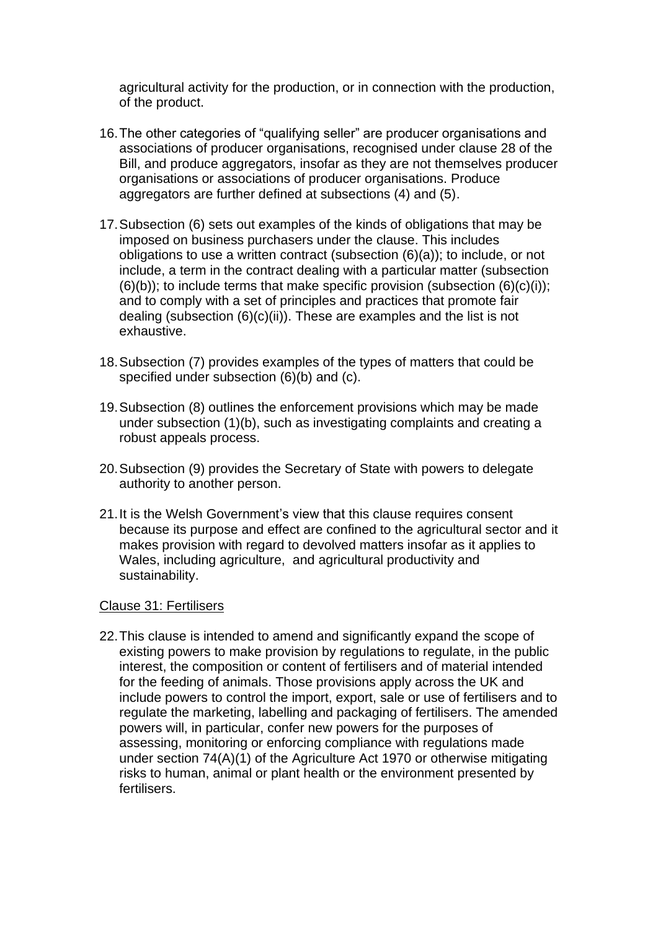agricultural activity for the production, or in connection with the production, of the product.

- 16.The other categories of "qualifying seller" are producer organisations and associations of producer organisations, recognised under clause 28 of the Bill, and produce aggregators, insofar as they are not themselves producer organisations or associations of producer organisations. Produce aggregators are further defined at subsections (4) and (5).
- 17.Subsection (6) sets out examples of the kinds of obligations that may be imposed on business purchasers under the clause. This includes obligations to use a written contract (subsection (6)(a)); to include, or not include, a term in the contract dealing with a particular matter (subsection  $(6)(b)$ ; to include terms that make specific provision (subsection  $(6)(c)(i)$ ); and to comply with a set of principles and practices that promote fair dealing (subsection  $(6)(c)(ii)$ ). These are examples and the list is not exhaustive.
- 18.Subsection (7) provides examples of the types of matters that could be specified under subsection (6)(b) and (c).
- 19.Subsection (8) outlines the enforcement provisions which may be made under subsection (1)(b), such as investigating complaints and creating a robust appeals process.
- 20.Subsection (9) provides the Secretary of State with powers to delegate authority to another person.
- 21.It is the Welsh Government's view that this clause requires consent because its purpose and effect are confined to the agricultural sector and it makes provision with regard to devolved matters insofar as it applies to Wales, including agriculture, and agricultural productivity and sustainability.

#### Clause 31: Fertilisers

22.This clause is intended to amend and significantly expand the scope of existing powers to make provision by regulations to regulate, in the public interest, the composition or content of fertilisers and of material intended for the feeding of animals. Those provisions apply across the UK and include powers to control the import, export, sale or use of fertilisers and to regulate the marketing, labelling and packaging of fertilisers. The amended powers will, in particular, confer new powers for the purposes of assessing, monitoring or enforcing compliance with regulations made under section 74(A)(1) of the Agriculture Act 1970 or otherwise mitigating risks to human, animal or plant health or the environment presented by fertilisers.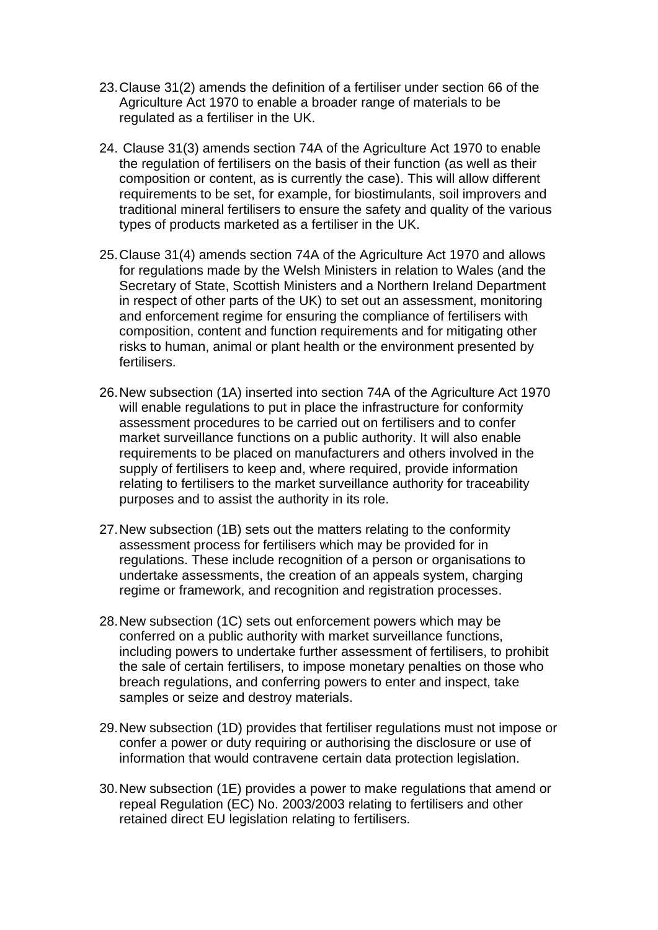- 23.Clause 31(2) amends the definition of a fertiliser under section 66 of the Agriculture Act 1970 to enable a broader range of materials to be regulated as a fertiliser in the UK.
- 24. Clause 31(3) amends section 74A of the Agriculture Act 1970 to enable the regulation of fertilisers on the basis of their function (as well as their composition or content, as is currently the case). This will allow different requirements to be set, for example, for biostimulants, soil improvers and traditional mineral fertilisers to ensure the safety and quality of the various types of products marketed as a fertiliser in the UK.
- 25.Clause 31(4) amends section 74A of the Agriculture Act 1970 and allows for regulations made by the Welsh Ministers in relation to Wales (and the Secretary of State, Scottish Ministers and a Northern Ireland Department in respect of other parts of the UK) to set out an assessment, monitoring and enforcement regime for ensuring the compliance of fertilisers with composition, content and function requirements and for mitigating other risks to human, animal or plant health or the environment presented by fertilisers.
- 26.New subsection (1A) inserted into section 74A of the Agriculture Act 1970 will enable regulations to put in place the infrastructure for conformity assessment procedures to be carried out on fertilisers and to confer market surveillance functions on a public authority. It will also enable requirements to be placed on manufacturers and others involved in the supply of fertilisers to keep and, where required, provide information relating to fertilisers to the market surveillance authority for traceability purposes and to assist the authority in its role.
- 27.New subsection (1B) sets out the matters relating to the conformity assessment process for fertilisers which may be provided for in regulations. These include recognition of a person or organisations to undertake assessments, the creation of an appeals system, charging regime or framework, and recognition and registration processes.
- 28.New subsection (1C) sets out enforcement powers which may be conferred on a public authority with market surveillance functions, including powers to undertake further assessment of fertilisers, to prohibit the sale of certain fertilisers, to impose monetary penalties on those who breach regulations, and conferring powers to enter and inspect, take samples or seize and destroy materials.
- 29.New subsection (1D) provides that fertiliser regulations must not impose or confer a power or duty requiring or authorising the disclosure or use of information that would contravene certain data protection legislation.
- 30.New subsection (1E) provides a power to make regulations that amend or repeal Regulation (EC) No. 2003/2003 relating to fertilisers and other retained direct EU legislation relating to fertilisers.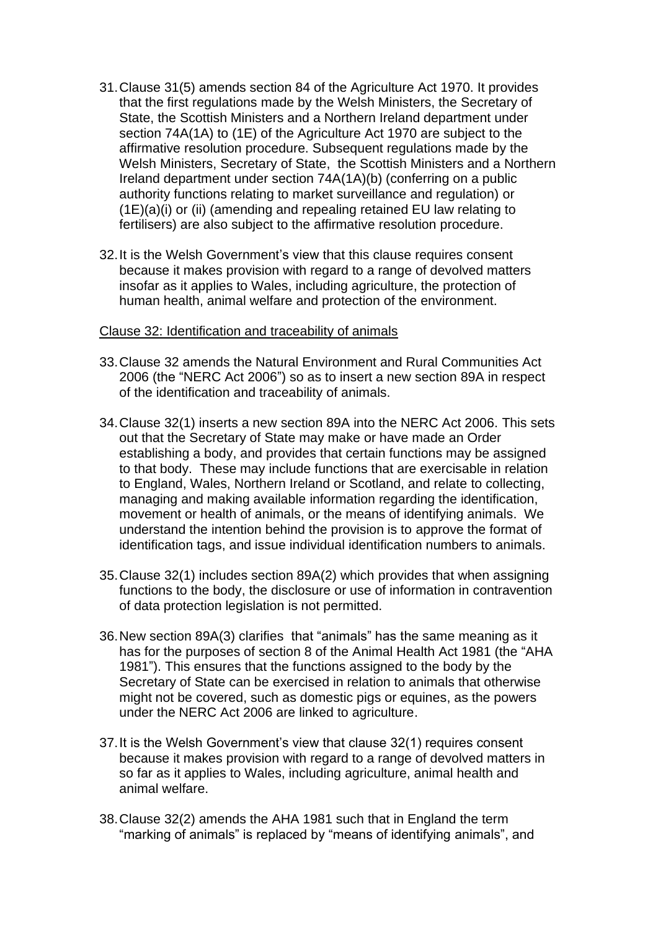- 31.Clause 31(5) amends section 84 of the Agriculture Act 1970. It provides that the first regulations made by the Welsh Ministers, the Secretary of State, the Scottish Ministers and a Northern Ireland department under section 74A(1A) to (1E) of the Agriculture Act 1970 are subject to the affirmative resolution procedure. Subsequent regulations made by the Welsh Ministers, Secretary of State, the Scottish Ministers and a Northern Ireland department under section 74A(1A)(b) (conferring on a public authority functions relating to market surveillance and regulation) or (1E)(a)(i) or (ii) (amending and repealing retained EU law relating to fertilisers) are also subject to the affirmative resolution procedure.
- 32.It is the Welsh Government's view that this clause requires consent because it makes provision with regard to a range of devolved matters insofar as it applies to Wales, including agriculture, the protection of human health, animal welfare and protection of the environment.

#### Clause 32: Identification and traceability of animals

- 33.Clause 32 amends the Natural Environment and Rural Communities Act 2006 (the "NERC Act 2006") so as to insert a new section 89A in respect of the identification and traceability of animals.
- 34.Clause 32(1) inserts a new section 89A into the NERC Act 2006. This sets out that the Secretary of State may make or have made an Order establishing a body, and provides that certain functions may be assigned to that body. These may include functions that are exercisable in relation to England, Wales, Northern Ireland or Scotland, and relate to collecting, managing and making available information regarding the identification, movement or health of animals, or the means of identifying animals. We understand the intention behind the provision is to approve the format of identification tags, and issue individual identification numbers to animals.
- 35.Clause 32(1) includes section 89A(2) which provides that when assigning functions to the body, the disclosure or use of information in contravention of data protection legislation is not permitted.
- 36.New section 89A(3) clarifies that "animals" has the same meaning as it has for the purposes of section 8 of the Animal Health Act 1981 (the "AHA 1981"). This ensures that the functions assigned to the body by the Secretary of State can be exercised in relation to animals that otherwise might not be covered, such as domestic pigs or equines, as the powers under the NERC Act 2006 are linked to agriculture.
- 37.It is the Welsh Government's view that clause 32(1) requires consent because it makes provision with regard to a range of devolved matters in so far as it applies to Wales, including agriculture, animal health and animal welfare.
- 38.Clause 32(2) amends the AHA 1981 such that in England the term "marking of animals" is replaced by "means of identifying animals", and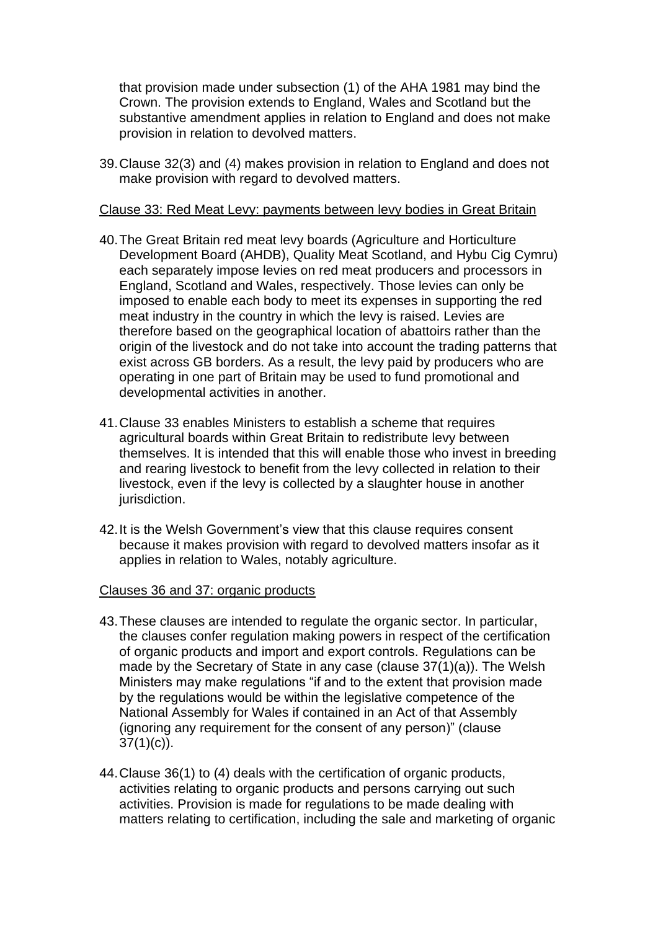that provision made under subsection (1) of the AHA 1981 may bind the Crown. The provision extends to England, Wales and Scotland but the substantive amendment applies in relation to England and does not make provision in relation to devolved matters.

39.Clause 32(3) and (4) makes provision in relation to England and does not make provision with regard to devolved matters.

#### Clause 33: Red Meat Levy: payments between levy bodies in Great Britain

- 40.The Great Britain red meat levy boards (Agriculture and Horticulture Development Board (AHDB), Quality Meat Scotland, and Hybu Cig Cymru) each separately impose levies on red meat producers and processors in England, Scotland and Wales, respectively. Those levies can only be imposed to enable each body to meet its expenses in supporting the red meat industry in the country in which the levy is raised. Levies are therefore based on the geographical location of abattoirs rather than the origin of the livestock and do not take into account the trading patterns that exist across GB borders. As a result, the levy paid by producers who are operating in one part of Britain may be used to fund promotional and developmental activities in another.
- 41.Clause 33 enables Ministers to establish a scheme that requires agricultural boards within Great Britain to redistribute levy between themselves. It is intended that this will enable those who invest in breeding and rearing livestock to benefit from the levy collected in relation to their livestock, even if the levy is collected by a slaughter house in another jurisdiction.
- 42.It is the Welsh Government's view that this clause requires consent because it makes provision with regard to devolved matters insofar as it applies in relation to Wales, notably agriculture.

#### Clauses 36 and 37: organic products

- 43.These clauses are intended to regulate the organic sector. In particular, the clauses confer regulation making powers in respect of the certification of organic products and import and export controls. Regulations can be made by the Secretary of State in any case (clause 37(1)(a)). The Welsh Ministers may make regulations "if and to the extent that provision made by the regulations would be within the legislative competence of the National Assembly for Wales if contained in an Act of that Assembly (ignoring any requirement for the consent of any person)" (clause  $37(1)(c)$ .
- 44.Clause 36(1) to (4) deals with the certification of organic products, activities relating to organic products and persons carrying out such activities. Provision is made for regulations to be made dealing with matters relating to certification, including the sale and marketing of organic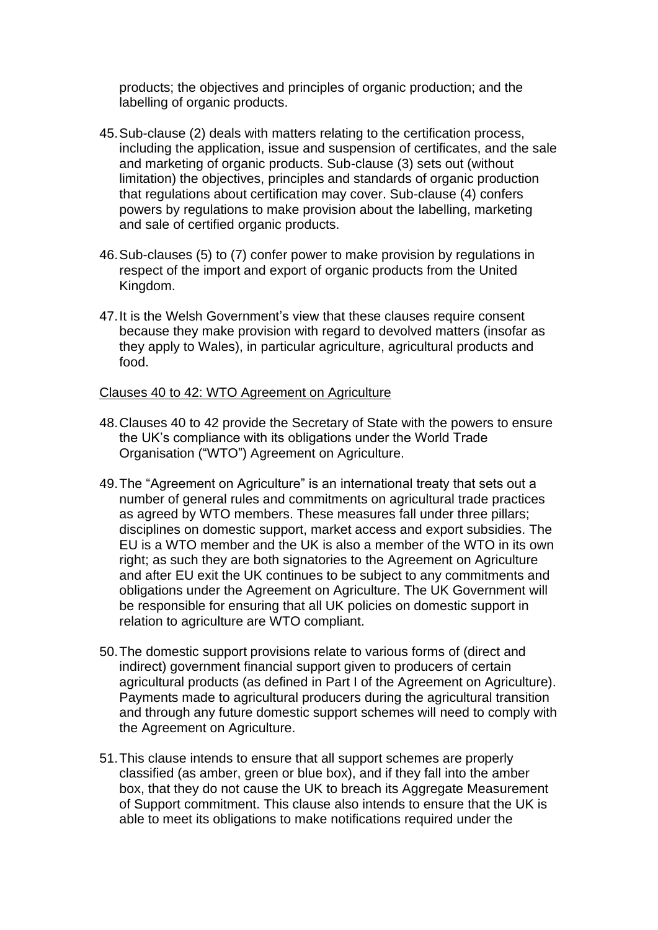products; the objectives and principles of organic production; and the labelling of organic products.

- 45.Sub-clause (2) deals with matters relating to the certification process, including the application, issue and suspension of certificates, and the sale and marketing of organic products. Sub-clause (3) sets out (without limitation) the objectives, principles and standards of organic production that regulations about certification may cover. Sub-clause (4) confers powers by regulations to make provision about the labelling, marketing and sale of certified organic products.
- 46.Sub-clauses (5) to (7) confer power to make provision by regulations in respect of the import and export of organic products from the United Kingdom.
- 47.It is the Welsh Government's view that these clauses require consent because they make provision with regard to devolved matters (insofar as they apply to Wales), in particular agriculture, agricultural products and food.

#### Clauses 40 to 42: WTO Agreement on Agriculture

- 48.Clauses 40 to 42 provide the Secretary of State with the powers to ensure the UK's compliance with its obligations under the World Trade Organisation ("WTO") Agreement on Agriculture.
- 49.The "Agreement on Agriculture" is an international treaty that sets out a number of general rules and commitments on agricultural trade practices as agreed by WTO members. These measures fall under three pillars; disciplines on domestic support, market access and export subsidies. The EU is a WTO member and the UK is also a member of the WTO in its own right; as such they are both signatories to the Agreement on Agriculture and after EU exit the UK continues to be subject to any commitments and obligations under the Agreement on Agriculture. The UK Government will be responsible for ensuring that all UK policies on domestic support in relation to agriculture are WTO compliant.
- 50.The domestic support provisions relate to various forms of (direct and indirect) government financial support given to producers of certain agricultural products (as defined in Part I of the Agreement on Agriculture). Payments made to agricultural producers during the agricultural transition and through any future domestic support schemes will need to comply with the Agreement on Agriculture.
- 51.This clause intends to ensure that all support schemes are properly classified (as amber, green or blue box), and if they fall into the amber box, that they do not cause the UK to breach its Aggregate Measurement of Support commitment. This clause also intends to ensure that the UK is able to meet its obligations to make notifications required under the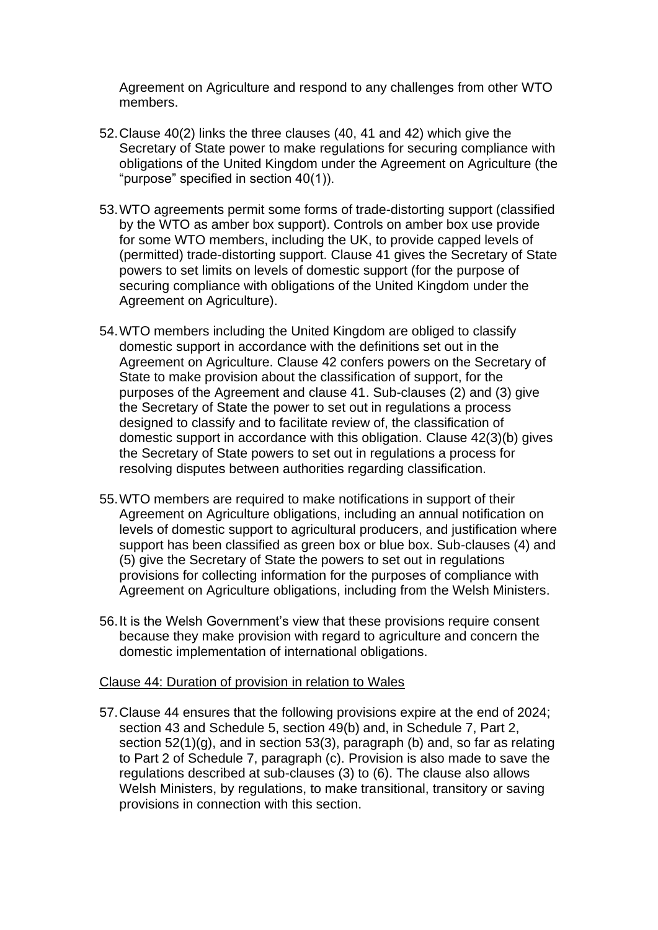Agreement on Agriculture and respond to any challenges from other WTO members.

- 52.Clause 40(2) links the three clauses (40, 41 and 42) which give the Secretary of State power to make regulations for securing compliance with obligations of the United Kingdom under the Agreement on Agriculture (the "purpose" specified in section 40(1)).
- 53.WTO agreements permit some forms of trade-distorting support (classified by the WTO as amber box support). Controls on amber box use provide for some WTO members, including the UK, to provide capped levels of (permitted) trade-distorting support. Clause 41 gives the Secretary of State powers to set limits on levels of domestic support (for the purpose of securing compliance with obligations of the United Kingdom under the Agreement on Agriculture).
- 54.WTO members including the United Kingdom are obliged to classify domestic support in accordance with the definitions set out in the Agreement on Agriculture. Clause 42 confers powers on the Secretary of State to make provision about the classification of support, for the purposes of the Agreement and clause 41. Sub-clauses (2) and (3) give the Secretary of State the power to set out in regulations a process designed to classify and to facilitate review of, the classification of domestic support in accordance with this obligation. Clause 42(3)(b) gives the Secretary of State powers to set out in regulations a process for resolving disputes between authorities regarding classification.
- 55.WTO members are required to make notifications in support of their Agreement on Agriculture obligations, including an annual notification on levels of domestic support to agricultural producers, and justification where support has been classified as green box or blue box. Sub-clauses (4) and (5) give the Secretary of State the powers to set out in regulations provisions for collecting information for the purposes of compliance with Agreement on Agriculture obligations, including from the Welsh Ministers.
- 56.It is the Welsh Government's view that these provisions require consent because they make provision with regard to agriculture and concern the domestic implementation of international obligations.

#### Clause 44: Duration of provision in relation to Wales

57.Clause 44 ensures that the following provisions expire at the end of 2024; section 43 and Schedule 5, section 49(b) and, in Schedule 7, Part 2, section 52(1)(g), and in section 53(3), paragraph (b) and, so far as relating to Part 2 of Schedule 7, paragraph (c). Provision is also made to save the regulations described at sub-clauses (3) to (6). The clause also allows Welsh Ministers, by regulations, to make transitional, transitory or saving provisions in connection with this section.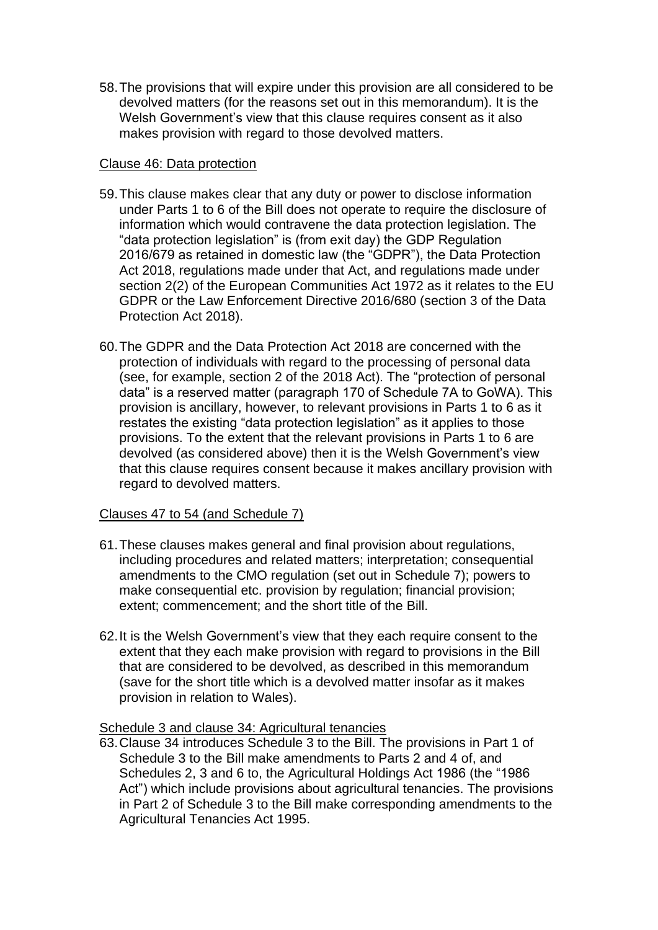58.The provisions that will expire under this provision are all considered to be devolved matters (for the reasons set out in this memorandum). It is the Welsh Government's view that this clause requires consent as it also makes provision with regard to those devolved matters.

### Clause 46: Data protection

- 59.This clause makes clear that any duty or power to disclose information under Parts 1 to 6 of the Bill does not operate to require the disclosure of information which would contravene the data protection legislation. The "data protection legislation" is (from exit day) the GDP Regulation 2016/679 as retained in domestic law (the "GDPR"), the Data Protection Act 2018, regulations made under that Act, and regulations made under section 2(2) of the European Communities Act 1972 as it relates to the EU GDPR or the Law Enforcement Directive 2016/680 (section 3 of the Data Protection Act 2018).
- 60.The GDPR and the Data Protection Act 2018 are concerned with the protection of individuals with regard to the processing of personal data (see, for example, section 2 of the 2018 Act). The "protection of personal data" is a reserved matter (paragraph 170 of Schedule 7A to GoWA). This provision is ancillary, however, to relevant provisions in Parts 1 to 6 as it restates the existing "data protection legislation" as it applies to those provisions. To the extent that the relevant provisions in Parts 1 to 6 are devolved (as considered above) then it is the Welsh Government's view that this clause requires consent because it makes ancillary provision with regard to devolved matters.

## Clauses 47 to 54 (and Schedule 7)

- 61.These clauses makes general and final provision about regulations, including procedures and related matters; interpretation; consequential amendments to the CMO regulation (set out in Schedule 7); powers to make consequential etc. provision by regulation; financial provision; extent; commencement; and the short title of the Bill.
- 62.It is the Welsh Government's view that they each require consent to the extent that they each make provision with regard to provisions in the Bill that are considered to be devolved, as described in this memorandum (save for the short title which is a devolved matter insofar as it makes provision in relation to Wales).

## Schedule 3 and clause 34: Agricultural tenancies

63.Clause 34 introduces Schedule 3 to the Bill. The provisions in Part 1 of Schedule 3 to the Bill make amendments to Parts 2 and 4 of, and Schedules 2, 3 and 6 to, the Agricultural Holdings Act 1986 (the "1986 Act") which include provisions about agricultural tenancies. The provisions in Part 2 of Schedule 3 to the Bill make corresponding amendments to the Agricultural Tenancies Act 1995.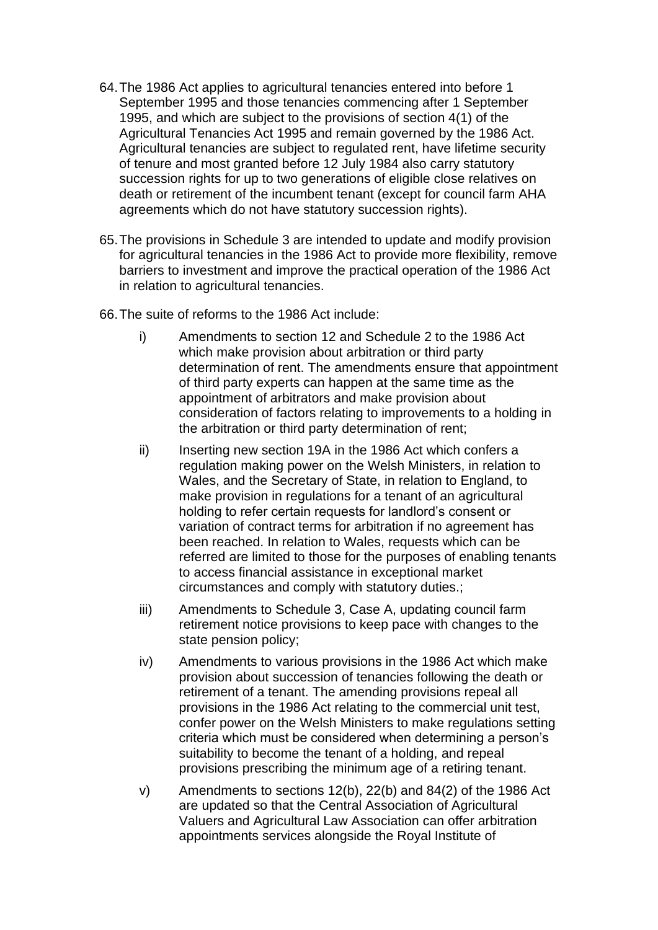- 64.The 1986 Act applies to agricultural tenancies entered into before 1 September 1995 and those tenancies commencing after 1 September 1995, and which are subject to the provisions of section 4(1) of the Agricultural Tenancies Act 1995 and remain governed by the 1986 Act. Agricultural tenancies are subject to regulated rent, have lifetime security of tenure and most granted before 12 July 1984 also carry statutory succession rights for up to two generations of eligible close relatives on death or retirement of the incumbent tenant (except for council farm AHA agreements which do not have statutory succession rights).
- 65.The provisions in Schedule 3 are intended to update and modify provision for agricultural tenancies in the 1986 Act to provide more flexibility, remove barriers to investment and improve the practical operation of the 1986 Act in relation to agricultural tenancies.
- 66.The suite of reforms to the 1986 Act include:
	- i) Amendments to section 12 and Schedule 2 to the 1986 Act which make provision about arbitration or third party determination of rent. The amendments ensure that appointment of third party experts can happen at the same time as the appointment of arbitrators and make provision about consideration of factors relating to improvements to a holding in the arbitration or third party determination of rent;
	- ii) Inserting new section 19A in the 1986 Act which confers a regulation making power on the Welsh Ministers, in relation to Wales, and the Secretary of State, in relation to England, to make provision in regulations for a tenant of an agricultural holding to refer certain requests for landlord's consent or variation of contract terms for arbitration if no agreement has been reached. In relation to Wales, requests which can be referred are limited to those for the purposes of enabling tenants to access financial assistance in exceptional market circumstances and comply with statutory duties.;
	- iii) Amendments to Schedule 3, Case A, updating council farm retirement notice provisions to keep pace with changes to the state pension policy;
	- iv) Amendments to various provisions in the 1986 Act which make provision about succession of tenancies following the death or retirement of a tenant. The amending provisions repeal all provisions in the 1986 Act relating to the commercial unit test, confer power on the Welsh Ministers to make regulations setting criteria which must be considered when determining a person's suitability to become the tenant of a holding, and repeal provisions prescribing the minimum age of a retiring tenant.
	- v) Amendments to sections 12(b), 22(b) and 84(2) of the 1986 Act are updated so that the Central Association of Agricultural Valuers and Agricultural Law Association can offer arbitration appointments services alongside the Royal Institute of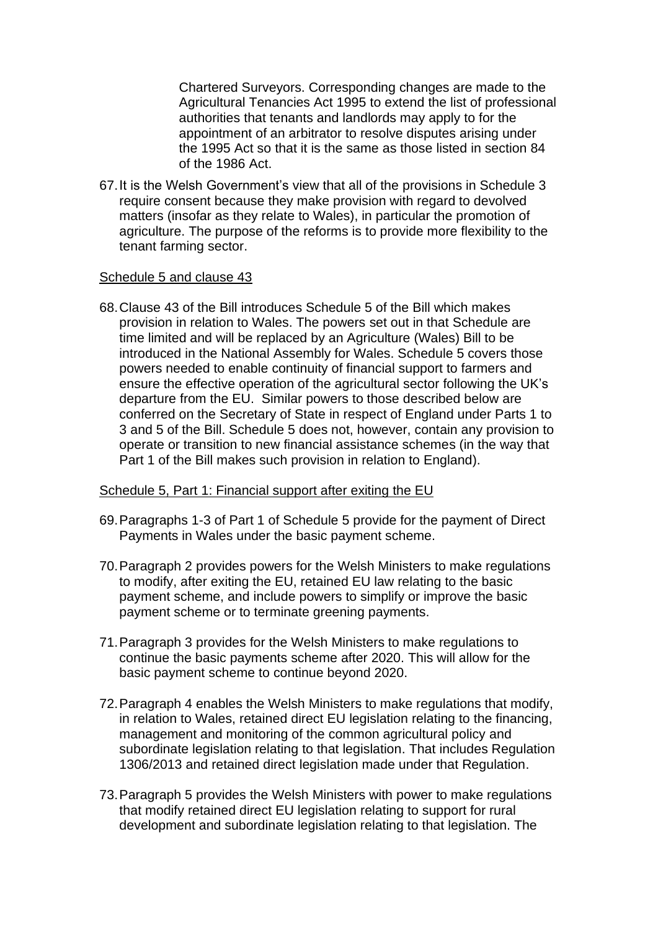Chartered Surveyors. Corresponding changes are made to the Agricultural Tenancies Act 1995 to extend the list of professional authorities that tenants and landlords may apply to for the appointment of an arbitrator to resolve disputes arising under the 1995 Act so that it is the same as those listed in section 84 of the 1986 Act.

67.It is the Welsh Government's view that all of the provisions in Schedule 3 require consent because they make provision with regard to devolved matters (insofar as they relate to Wales), in particular the promotion of agriculture. The purpose of the reforms is to provide more flexibility to the tenant farming sector.

#### Schedule 5 and clause 43

68.Clause 43 of the Bill introduces Schedule 5 of the Bill which makes provision in relation to Wales. The powers set out in that Schedule are time limited and will be replaced by an Agriculture (Wales) Bill to be introduced in the National Assembly for Wales. Schedule 5 covers those powers needed to enable continuity of financial support to farmers and ensure the effective operation of the agricultural sector following the UK's departure from the EU. Similar powers to those described below are conferred on the Secretary of State in respect of England under Parts 1 to 3 and 5 of the Bill. Schedule 5 does not, however, contain any provision to operate or transition to new financial assistance schemes (in the way that Part 1 of the Bill makes such provision in relation to England).

#### Schedule 5, Part 1: Financial support after exiting the EU

- 69.Paragraphs 1-3 of Part 1 of Schedule 5 provide for the payment of Direct Payments in Wales under the basic payment scheme.
- 70.Paragraph 2 provides powers for the Welsh Ministers to make regulations to modify, after exiting the EU, retained EU law relating to the basic payment scheme, and include powers to simplify or improve the basic payment scheme or to terminate greening payments.
- 71.Paragraph 3 provides for the Welsh Ministers to make regulations to continue the basic payments scheme after 2020. This will allow for the basic payment scheme to continue beyond 2020.
- 72.Paragraph 4 enables the Welsh Ministers to make regulations that modify, in relation to Wales, retained direct EU legislation relating to the financing, management and monitoring of the common agricultural policy and subordinate legislation relating to that legislation. That includes Regulation 1306/2013 and retained direct legislation made under that Regulation.
- 73.Paragraph 5 provides the Welsh Ministers with power to make regulations that modify retained direct EU legislation relating to support for rural development and subordinate legislation relating to that legislation. The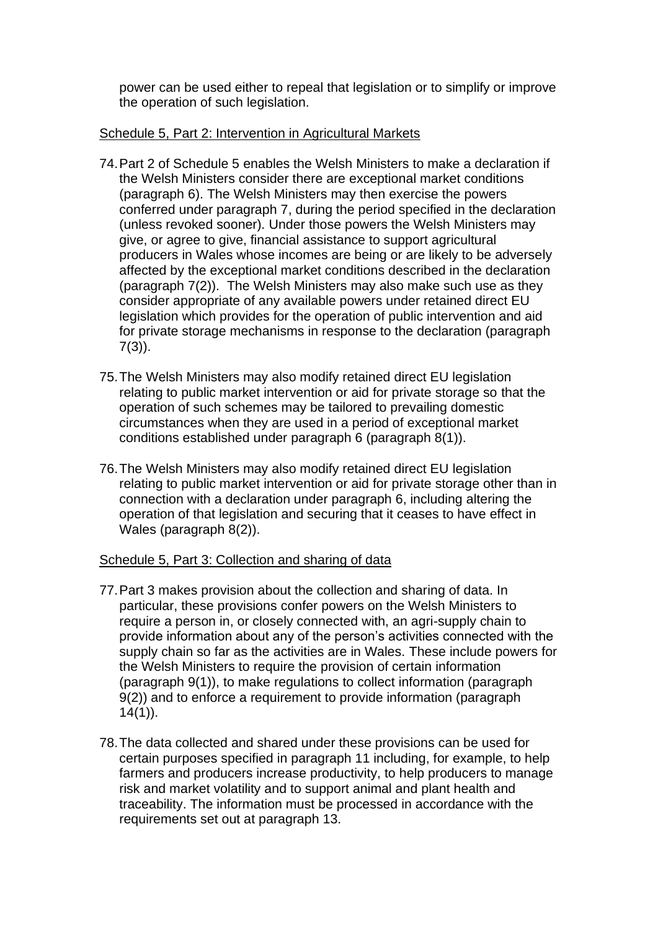power can be used either to repeal that legislation or to simplify or improve the operation of such legislation.

## Schedule 5, Part 2: Intervention in Agricultural Markets

- 74.Part 2 of Schedule 5 enables the Welsh Ministers to make a declaration if the Welsh Ministers consider there are exceptional market conditions (paragraph 6). The Welsh Ministers may then exercise the powers conferred under paragraph 7, during the period specified in the declaration (unless revoked sooner). Under those powers the Welsh Ministers may give, or agree to give, financial assistance to support agricultural producers in Wales whose incomes are being or are likely to be adversely affected by the exceptional market conditions described in the declaration (paragraph 7(2)). The Welsh Ministers may also make such use as they consider appropriate of any available powers under retained direct EU legislation which provides for the operation of public intervention and aid for private storage mechanisms in response to the declaration (paragraph 7(3)).
- 75.The Welsh Ministers may also modify retained direct EU legislation relating to public market intervention or aid for private storage so that the operation of such schemes may be tailored to prevailing domestic circumstances when they are used in a period of exceptional market conditions established under paragraph 6 (paragraph 8(1)).
- 76.The Welsh Ministers may also modify retained direct EU legislation relating to public market intervention or aid for private storage other than in connection with a declaration under paragraph 6, including altering the operation of that legislation and securing that it ceases to have effect in Wales (paragraph 8(2)).

## Schedule 5, Part 3: Collection and sharing of data

- 77.Part 3 makes provision about the collection and sharing of data. In particular, these provisions confer powers on the Welsh Ministers to require a person in, or closely connected with, an agri-supply chain to provide information about any of the person's activities connected with the supply chain so far as the activities are in Wales. These include powers for the Welsh Ministers to require the provision of certain information (paragraph 9(1)), to make regulations to collect information (paragraph 9(2)) and to enforce a requirement to provide information (paragraph  $14(1)$ ).
- 78.The data collected and shared under these provisions can be used for certain purposes specified in paragraph 11 including, for example, to help farmers and producers increase productivity, to help producers to manage risk and market volatility and to support animal and plant health and traceability. The information must be processed in accordance with the requirements set out at paragraph 13.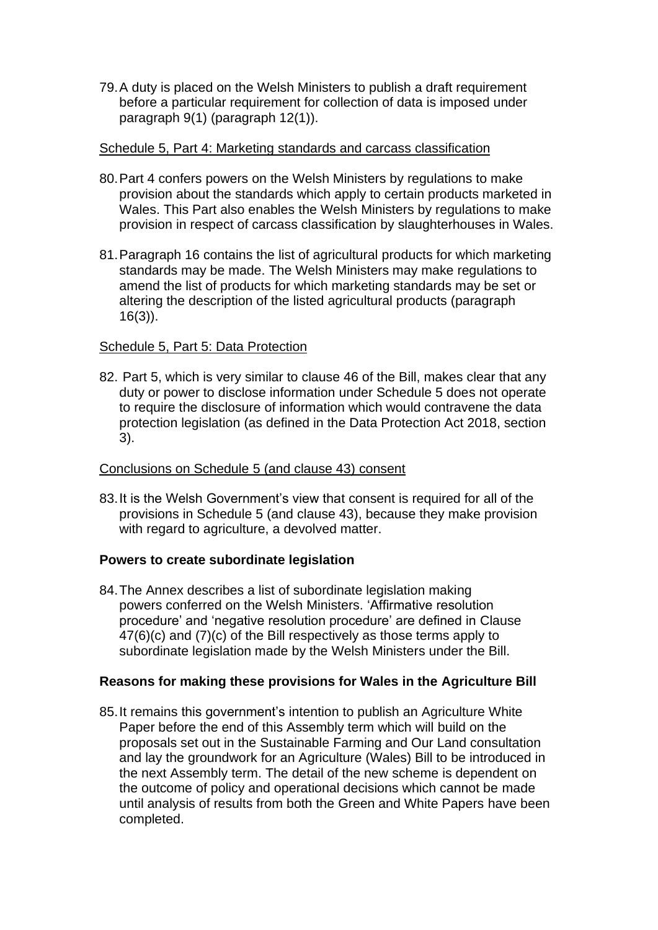79.A duty is placed on the Welsh Ministers to publish a draft requirement before a particular requirement for collection of data is imposed under paragraph 9(1) (paragraph 12(1)).

## Schedule 5, Part 4: Marketing standards and carcass classification

- 80.Part 4 confers powers on the Welsh Ministers by regulations to make provision about the standards which apply to certain products marketed in Wales. This Part also enables the Welsh Ministers by regulations to make provision in respect of carcass classification by slaughterhouses in Wales.
- 81.Paragraph 16 contains the list of agricultural products for which marketing standards may be made. The Welsh Ministers may make regulations to amend the list of products for which marketing standards may be set or altering the description of the listed agricultural products (paragraph 16(3)).

## Schedule 5, Part 5: Data Protection

82. Part 5, which is very similar to clause 46 of the Bill, makes clear that any duty or power to disclose information under Schedule 5 does not operate to require the disclosure of information which would contravene the data protection legislation (as defined in the Data Protection Act 2018, section 3).

#### Conclusions on Schedule 5 (and clause 43) consent

83.It is the Welsh Government's view that consent is required for all of the provisions in Schedule 5 (and clause 43), because they make provision with regard to agriculture, a devolved matter.

#### **Powers to create subordinate legislation**

84.The Annex describes a list of subordinate legislation making powers conferred on the Welsh Ministers. 'Affirmative resolution procedure' and 'negative resolution procedure' are defined in Clause 47(6)(c) and (7)(c) of the Bill respectively as those terms apply to subordinate legislation made by the Welsh Ministers under the Bill.

## **Reasons for making these provisions for Wales in the Agriculture Bill**

85.It remains this government's intention to publish an Agriculture White Paper before the end of this Assembly term which will build on the proposals set out in the Sustainable Farming and Our Land consultation and lay the groundwork for an Agriculture (Wales) Bill to be introduced in the next Assembly term. The detail of the new scheme is dependent on the outcome of policy and operational decisions which cannot be made until analysis of results from both the Green and White Papers have been completed.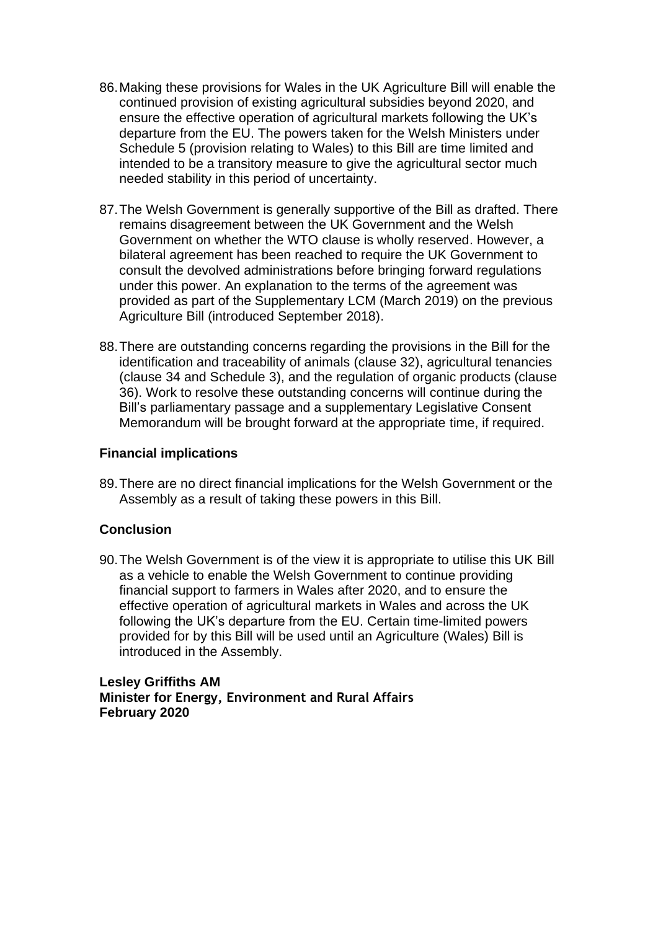- 86.Making these provisions for Wales in the UK Agriculture Bill will enable the continued provision of existing agricultural subsidies beyond 2020, and ensure the effective operation of agricultural markets following the UK's departure from the EU. The powers taken for the Welsh Ministers under Schedule 5 (provision relating to Wales) to this Bill are time limited and intended to be a transitory measure to give the agricultural sector much needed stability in this period of uncertainty.
- 87.The Welsh Government is generally supportive of the Bill as drafted. There remains disagreement between the UK Government and the Welsh Government on whether the WTO clause is wholly reserved. However, a bilateral agreement has been reached to require the UK Government to consult the devolved administrations before bringing forward regulations under this power. An explanation to the terms of the agreement was provided as part of the Supplementary LCM (March 2019) on the previous Agriculture Bill (introduced September 2018).
- 88.There are outstanding concerns regarding the provisions in the Bill for the identification and traceability of animals (clause 32), agricultural tenancies (clause 34 and Schedule 3), and the regulation of organic products (clause 36). Work to resolve these outstanding concerns will continue during the Bill's parliamentary passage and a supplementary Legislative Consent Memorandum will be brought forward at the appropriate time, if required.

### **Financial implications**

89.There are no direct financial implications for the Welsh Government or the Assembly as a result of taking these powers in this Bill.

# **Conclusion**

90.The Welsh Government is of the view it is appropriate to utilise this UK Bill as a vehicle to enable the Welsh Government to continue providing financial support to farmers in Wales after 2020, and to ensure the effective operation of agricultural markets in Wales and across the UK following the UK's departure from the EU. Certain time-limited powers provided for by this Bill will be used until an Agriculture (Wales) Bill is introduced in the Assembly.

**Lesley Griffiths AM Minister for Energy, Environment and Rural Affairs February 2020**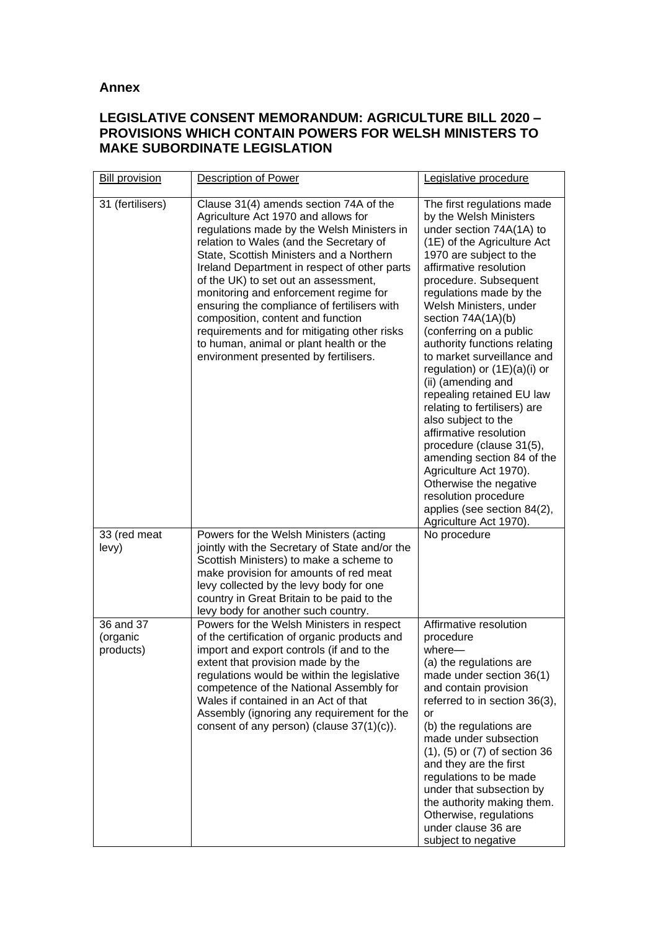### **Annex**

# **LEGISLATIVE CONSENT MEMORANDUM: AGRICULTURE BILL 2020 – PROVISIONS WHICH CONTAIN POWERS FOR WELSH MINISTERS TO MAKE SUBORDINATE LEGISLATION**

| <b>Bill provision</b>              | <b>Description of Power</b>                                                                                                                                                                                                                                                                                                                                                                                                                                                                                                                                                | Legislative procedure                                                                                                                                                                                                                                                                                                                                                                                                                                                                                                                                                                                                                                                                                                                  |
|------------------------------------|----------------------------------------------------------------------------------------------------------------------------------------------------------------------------------------------------------------------------------------------------------------------------------------------------------------------------------------------------------------------------------------------------------------------------------------------------------------------------------------------------------------------------------------------------------------------------|----------------------------------------------------------------------------------------------------------------------------------------------------------------------------------------------------------------------------------------------------------------------------------------------------------------------------------------------------------------------------------------------------------------------------------------------------------------------------------------------------------------------------------------------------------------------------------------------------------------------------------------------------------------------------------------------------------------------------------------|
| 31 (fertilisers)                   | Clause 31(4) amends section 74A of the<br>Agriculture Act 1970 and allows for<br>regulations made by the Welsh Ministers in<br>relation to Wales (and the Secretary of<br>State, Scottish Ministers and a Northern<br>Ireland Department in respect of other parts<br>of the UK) to set out an assessment,<br>monitoring and enforcement regime for<br>ensuring the compliance of fertilisers with<br>composition, content and function<br>requirements and for mitigating other risks<br>to human, animal or plant health or the<br>environment presented by fertilisers. | The first regulations made<br>by the Welsh Ministers<br>under section 74A(1A) to<br>(1E) of the Agriculture Act<br>1970 are subject to the<br>affirmative resolution<br>procedure. Subsequent<br>regulations made by the<br>Welsh Ministers, under<br>section 74A(1A)(b)<br>(conferring on a public<br>authority functions relating<br>to market surveillance and<br>regulation) or $(1E)(a)(i)$ or<br>(ii) (amending and<br>repealing retained EU law<br>relating to fertilisers) are<br>also subject to the<br>affirmative resolution<br>procedure (clause 31(5),<br>amending section 84 of the<br>Agriculture Act 1970).<br>Otherwise the negative<br>resolution procedure<br>applies (see section 84(2),<br>Agriculture Act 1970). |
| 33 (red meat<br>levy)              | Powers for the Welsh Ministers (acting<br>jointly with the Secretary of State and/or the<br>Scottish Ministers) to make a scheme to<br>make provision for amounts of red meat<br>levy collected by the levy body for one<br>country in Great Britain to be paid to the<br>levy body for another such country.                                                                                                                                                                                                                                                              | No procedure                                                                                                                                                                                                                                                                                                                                                                                                                                                                                                                                                                                                                                                                                                                           |
| 36 and 37<br>(organic<br>products) | Powers for the Welsh Ministers in respect<br>of the certification of organic products and<br>import and export controls (if and to the<br>extent that provision made by the<br>regulations would be within the legislative<br>competence of the National Assembly for<br>Wales if contained in an Act of that<br>Assembly (ignoring any requirement for the<br>consent of any person) (clause $37(1)(c)$ ).                                                                                                                                                                | Affirmative resolution<br>procedure<br>$where -$<br>(a) the regulations are<br>made under section 36(1)<br>and contain provision<br>referred to in section 36(3),<br>or<br>(b) the regulations are<br>made under subsection<br>$(1)$ , $(5)$ or $(7)$ of section 36<br>and they are the first<br>regulations to be made<br>under that subsection by<br>the authority making them.<br>Otherwise, regulations<br>under clause 36 are<br>subject to negative                                                                                                                                                                                                                                                                              |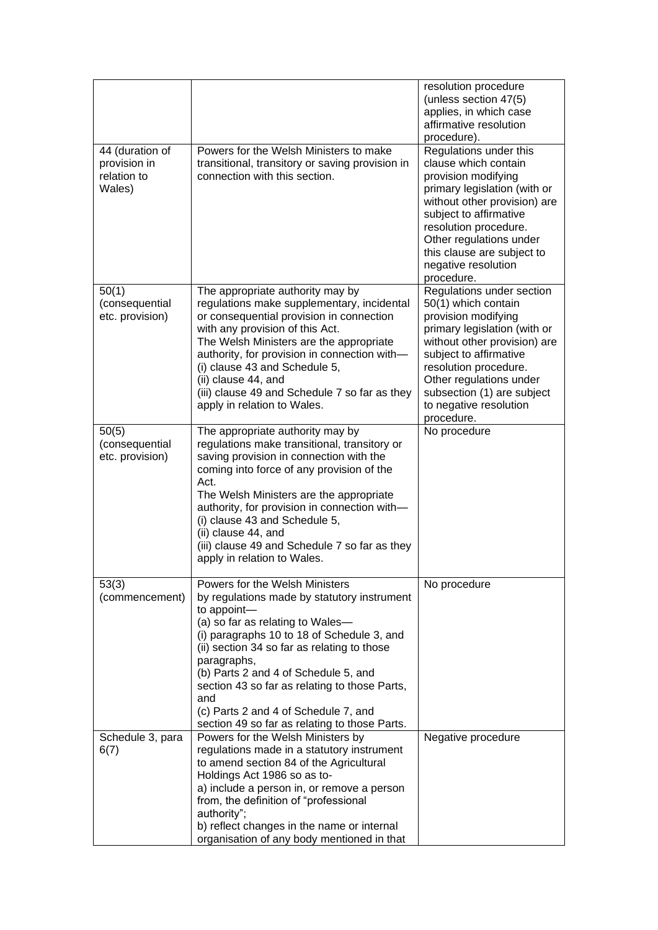|                                                          |                                                                                                                                                                                                                                                                                                                                                                                                                                       | resolution procedure<br>(unless section 47(5)<br>applies, in which case<br>affirmative resolution                                                                                                                                                                                                     |
|----------------------------------------------------------|---------------------------------------------------------------------------------------------------------------------------------------------------------------------------------------------------------------------------------------------------------------------------------------------------------------------------------------------------------------------------------------------------------------------------------------|-------------------------------------------------------------------------------------------------------------------------------------------------------------------------------------------------------------------------------------------------------------------------------------------------------|
| 44 (duration of<br>provision in<br>relation to<br>Wales) | Powers for the Welsh Ministers to make<br>transitional, transitory or saving provision in<br>connection with this section.                                                                                                                                                                                                                                                                                                            | procedure).<br>Regulations under this<br>clause which contain<br>provision modifying<br>primary legislation (with or<br>without other provision) are<br>subject to affirmative<br>resolution procedure.<br>Other regulations under<br>this clause are subject to<br>negative resolution<br>procedure. |
| 50(1)<br>(consequential<br>etc. provision)               | The appropriate authority may by<br>regulations make supplementary, incidental<br>or consequential provision in connection<br>with any provision of this Act.<br>The Welsh Ministers are the appropriate<br>authority, for provision in connection with-<br>(i) clause 43 and Schedule 5,<br>(ii) clause 44, and<br>(iii) clause 49 and Schedule 7 so far as they<br>apply in relation to Wales.                                      | Regulations under section<br>50(1) which contain<br>provision modifying<br>primary legislation (with or<br>without other provision) are<br>subject to affirmative<br>resolution procedure.<br>Other regulations under<br>subsection (1) are subject<br>to negative resolution<br>procedure.           |
| 50(5)<br>(consequential<br>etc. provision)               | The appropriate authority may by<br>regulations make transitional, transitory or<br>saving provision in connection with the<br>coming into force of any provision of the<br>Act.<br>The Welsh Ministers are the appropriate<br>authority, for provision in connection with-<br>(i) clause 43 and Schedule 5,<br>(ii) clause 44, and<br>(iii) clause 49 and Schedule 7 so far as they<br>apply in relation to Wales.                   | No procedure                                                                                                                                                                                                                                                                                          |
| 53(3)<br>(commencement)                                  | Powers for the Welsh Ministers<br>by regulations made by statutory instrument<br>to appoint-<br>(a) so far as relating to Wales-<br>(i) paragraphs 10 to 18 of Schedule 3, and<br>(ii) section 34 so far as relating to those<br>paragraphs,<br>(b) Parts 2 and 4 of Schedule 5, and<br>section 43 so far as relating to those Parts,<br>and<br>(c) Parts 2 and 4 of Schedule 7, and<br>section 49 so far as relating to those Parts. | No procedure                                                                                                                                                                                                                                                                                          |
| Schedule 3, para<br>6(7)                                 | Powers for the Welsh Ministers by<br>regulations made in a statutory instrument<br>to amend section 84 of the Agricultural<br>Holdings Act 1986 so as to-<br>a) include a person in, or remove a person<br>from, the definition of "professional<br>authority";<br>b) reflect changes in the name or internal<br>organisation of any body mentioned in that                                                                           | Negative procedure                                                                                                                                                                                                                                                                                    |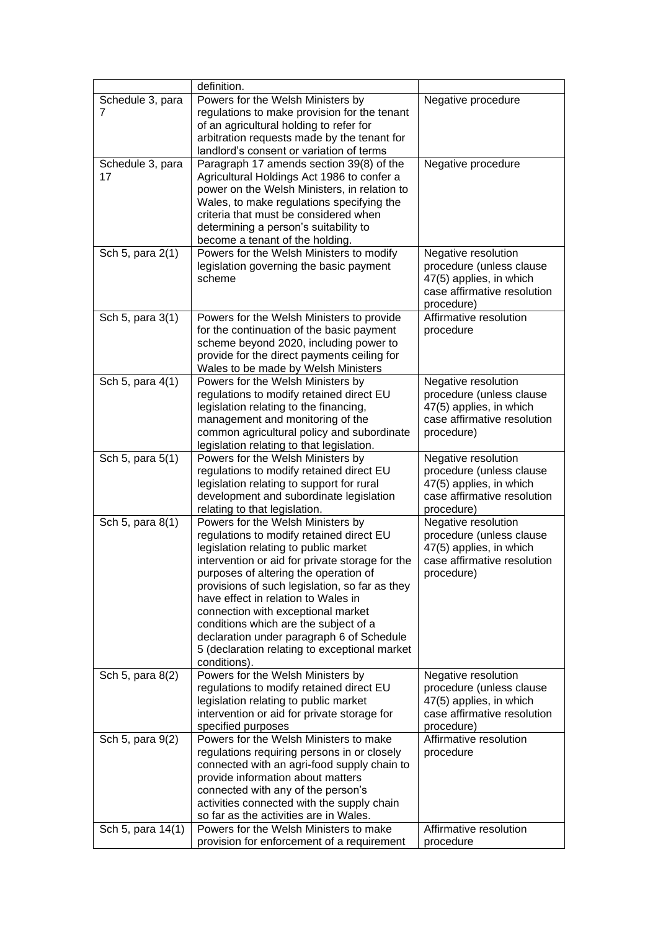|                        | definition.                                                                                                                                                                                                                                                                                                                                                                                                                                                                                              |                                                                                                                         |
|------------------------|----------------------------------------------------------------------------------------------------------------------------------------------------------------------------------------------------------------------------------------------------------------------------------------------------------------------------------------------------------------------------------------------------------------------------------------------------------------------------------------------------------|-------------------------------------------------------------------------------------------------------------------------|
| Schedule 3, para<br>7  | Powers for the Welsh Ministers by<br>regulations to make provision for the tenant<br>of an agricultural holding to refer for<br>arbitration requests made by the tenant for<br>landlord's consent or variation of terms                                                                                                                                                                                                                                                                                  | Negative procedure                                                                                                      |
| Schedule 3, para<br>17 | Paragraph 17 amends section 39(8) of the<br>Agricultural Holdings Act 1986 to confer a<br>power on the Welsh Ministers, in relation to<br>Wales, to make regulations specifying the<br>criteria that must be considered when<br>determining a person's suitability to<br>become a tenant of the holding.                                                                                                                                                                                                 | Negative procedure                                                                                                      |
| Sch 5, para 2(1)       | Powers for the Welsh Ministers to modify<br>legislation governing the basic payment<br>scheme                                                                                                                                                                                                                                                                                                                                                                                                            | Negative resolution<br>procedure (unless clause<br>47(5) applies, in which<br>case affirmative resolution<br>procedure) |
| Sch 5, para 3(1)       | Powers for the Welsh Ministers to provide<br>for the continuation of the basic payment<br>scheme beyond 2020, including power to<br>provide for the direct payments ceiling for<br>Wales to be made by Welsh Ministers                                                                                                                                                                                                                                                                                   | Affirmative resolution<br>procedure                                                                                     |
| Sch 5, para 4(1)       | Powers for the Welsh Ministers by<br>regulations to modify retained direct EU<br>legislation relating to the financing,<br>management and monitoring of the<br>common agricultural policy and subordinate<br>legislation relating to that legislation.                                                                                                                                                                                                                                                   | Negative resolution<br>procedure (unless clause<br>47(5) applies, in which<br>case affirmative resolution<br>procedure) |
| Sch 5, para 5(1)       | Powers for the Welsh Ministers by<br>regulations to modify retained direct EU<br>legislation relating to support for rural<br>development and subordinate legislation<br>relating to that legislation.                                                                                                                                                                                                                                                                                                   | Negative resolution<br>procedure (unless clause<br>47(5) applies, in which<br>case affirmative resolution<br>procedure) |
| Sch 5, para 8(1)       | Powers for the Welsh Ministers by<br>regulations to modify retained direct EU<br>legislation relating to public market<br>intervention or aid for private storage for the<br>purposes of altering the operation of<br>provisions of such legislation, so far as they<br>have effect in relation to Wales in<br>connection with exceptional market<br>conditions which are the subject of a<br>declaration under paragraph 6 of Schedule<br>5 (declaration relating to exceptional market<br>conditions). | Negative resolution<br>procedure (unless clause<br>47(5) applies, in which<br>case affirmative resolution<br>procedure) |
| Sch 5, para 8(2)       | Powers for the Welsh Ministers by<br>regulations to modify retained direct EU<br>legislation relating to public market<br>intervention or aid for private storage for<br>specified purposes                                                                                                                                                                                                                                                                                                              | Negative resolution<br>procedure (unless clause<br>47(5) applies, in which<br>case affirmative resolution<br>procedure) |
| Sch 5, para 9(2)       | Powers for the Welsh Ministers to make<br>regulations requiring persons in or closely<br>connected with an agri-food supply chain to<br>provide information about matters<br>connected with any of the person's<br>activities connected with the supply chain<br>so far as the activities are in Wales.                                                                                                                                                                                                  | Affirmative resolution<br>procedure                                                                                     |
| Sch 5, para 14(1)      | Powers for the Welsh Ministers to make<br>provision for enforcement of a requirement                                                                                                                                                                                                                                                                                                                                                                                                                     | Affirmative resolution<br>procedure                                                                                     |